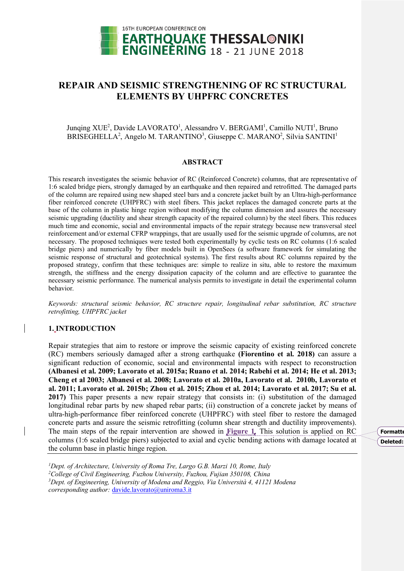

# **REPAIR AND SEISMIC STRENGTHENING OF RC STRUCTURAL ELEMENTS BY UHPFRC CONCRETES**

## Junqing XUE<sup>2</sup>, Davide LAVORATO<sup>1</sup>, Alessandro V. BERGAMI<sup>1</sup>, Camillo NUTI<sup>1</sup>, Bruno BRISEGHELLA<sup>2</sup>, Angelo M. TARANTINO<sup>3</sup>, Giuseppe C. MARANO<sup>2</sup>, Silvia SANTINI<sup>1</sup>

#### **ABSTRACT**

This research investigates the seismic behavior of RC (Reinforced Concrete) columns, that are representative of 1:6 scaled bridge piers, strongly damaged by an earthquake and then repaired and retrofitted. The damaged parts of the column are repaired using new shaped steel bars and a concrete jacket built by an Ultra-high-performance fiber reinforced concrete (UHPFRC) with steel fibers. This jacket replaces the damaged concrete parts at the base of the column in plastic hinge region without modifying the column dimension and assures the necessary seismic upgrading (ductility and shear strength capacity of the repaired column) by the steel fibers. This reduces much time and economic, social and environmental impacts of the repair strategy because new transversal steel reinforcement and/or external CFRP wrappings, that are usually used for the seismic upgrade of columns, are not necessary. The proposed techniques were tested both experimentally by cyclic tests on RC columns (1:6 scaled bridge piers) and numerically by fiber models built in OpenSees (a software framework for simulating the seismic response of structural and geotechnical systems). The first results about RC columns repaired by the proposed strategy, confirm that these techniques are: simple to realize in situ, able to restore the maximum strength, the stiffness and the energy dissipation capacity of the column and are effective to guarantee the necessary seismic performance. The numerical analysis permits to investigate in detail the experimental column behavior.

*Keywords: structural seismic behavior, RC structure repair, longitudinal rebar substitution, RC structure retrofitting, UHPFRC jacket*

## **1. INTRODUCTION**

Repair strategies that aim to restore or improve the seismic capacity of existing reinforced concrete (RC) members seriously damaged after a strong earthquake **(Fiorentino et al. 2018)** can assure a significant reduction of economic, social and environmental impacts with respect to reconstruction **(Albanesi et al. 2009; Lavorato et al. 2015a; Ruano et al. 2014; Rabehi et al. 2014; He et al. 2013; Cheng et al 2003; Albanesi et al. 2008; Lavorato et al. 2010a, Lavorato et al. 2010b, Lavorato et al. 2011; Lavorato et al. 2015b; Zhou et al. 2015; Zhou et al. 2014; Lavorato et al. 2017; Su et al. 2017)** This paper presents a new repair strategy that consists in: (i) substitution of the damaged longitudinal rebar parts by new shaped rebar parts; (ii) construction of a concrete jacket by means of ultra-high-performance fiber reinforced concrete (UHPFRC) with steel fiber to restore the damaged concrete parts and assure the seismic retrofitting (column shear strength and ductility improvements). The main steps of the repair intervention are showed in **Figure 1**. This solution is applied on RC columns (1:6 scaled bridge piers) subjected to axial and cyclic bending actions with damage located at the column base in plastic hinge region.

 *Dept. of Architecture, University of Roma Tre, Largo G.B. Marzi 10, Rome, Italy College of Civil Engineering, Fuzhou University, Fuzhou, Fujian 350108, China Dept. of Engineering, University of Modena and Reggio, Via Università 4, 41121 Modena corresponding author:* davide.lavorato@uniroma3.it

**Formatte Deleted:**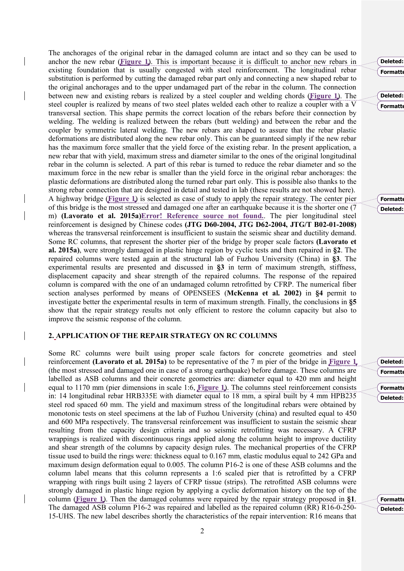The anchorages of the original rebar in the damaged column are intact and so they can be used to anchor the new rebar (**Figure 1**). This is important because it is difficult to anchor new rebars in existing foundation that is usually congested with steel reinforcement. The longitudinal rebar substitution is performed by cutting the damaged rebar part only and connecting a new shaped rebar to the original anchorages and to the upper undamaged part of the rebar in the column. The connection between new and existing rebars is realized by a steel coupler and welding chords (**Figure 1**). The steel coupler is realized by means of two steel plates welded each other to realize a coupler with a V transversal section. This shape permits the correct location of the rebars before their connection by welding. The welding is realized between the rebars (butt welding) and between the rebar and the coupler by symmetric lateral welding. The new rebars are shaped to assure that the rebar plastic deformations are distributed along the new rebar only. This can be guaranteed simply if the new rebar has the maximum force smaller that the yield force of the existing rebar. In the present application, a new rebar that with yield, maximum stress and diameter similar to the ones of the original longitudinal rebar in the column is selected. A part of this rebar is turned to reduce the rebar diameter and so the maximum force in the new rebar is smaller than the yield force in the original rebar anchorages: the plastic deformations are distributed along the turned rebar part only. This is possible also thanks to the strong rebar connection that are designed in detail and tested in lab (these results are not showed here). A highway bridge (**Figure 1**) is selected as case of study to apply the repair strategy. The center pier of this bridge is the most stressed and damaged one after an earthquake because it is the shorter one (7 m) **(Lavorato et al. 2015a)Error! Reference source not found.**. The pier longitudinal steel reinforcement is designed by Chinese codes **(JTG D60-2004, JTG D62-2004, JTG/T B02-01-2008)** whereas the transversal reinforcement is insufficient to sustain the seismic shear and ductility demand. Some RC columns, that represent the shorter pier of the bridge by proper scale factors **(Lavorato et al. 2015a)**, were strongly damaged in plastic hinge region by cyclic tests and then repaired in **§2**. The repaired columns were tested again at the structural lab of Fuzhou University (China) in **§3**. The experimental results are presented and discussed in **§3** in term of maximum strength, stiffness, displacement capacity and shear strength of the repaired columns. The response of the repaired column is compared with the one of an undamaged column retrofitted by CFRP. The numerical fiber section analyses performed by means of OPENSEES (**McKenna et al. 2002)** in **§4** permit to investigate better the experimental results in term of maximum strength. Finally, the conclusions in **§5** show that the repair strategy results not only efficient to restore the column capacity but also to improve the seismic response of the column.

#### **2. APPLICATION OF THE REPAIR STRATEGY ON RC COLUMNS**

Some RC columns were built using proper scale factors for concrete geometries and steel reinforcement **(Lavorato et al. 2015a)** to be representative of the 7 m pier of the bridge in **Figure 1** (the most stressed and damaged one in case of a strong earthquake) before damage. These columns are labelled as ASB columns and their concrete geometries are: diameter equal to 420 mm and height equal to 1170 mm (pier dimensions in scale 1:6, **Figure 1**). The columns steel reinforcement consists in: 14 longitudinal rebar HRB335E with diameter equal to 18 mm, a spiral built by 4 mm HPB235 steel rod spaced 60 mm. The yield and maximum stress of the longitudinal rebars were obtained by monotonic tests on steel specimens at the lab of Fuzhou University (china) and resulted equal to 450 and 600 MPa respectively. The transversal reinforcement was insufficient to sustain the seismic shear resulting from the capacity design criteria and so seismic retrofitting was necessary. A CFRP wrappings is realized with discontinuous rings applied along the column height to improve ductility and shear strength of the columns by capacity design rules. The mechanical properties of the CFRP tissue used to build the rings were: thickness equal to 0.167 mm, elastic modulus equal to 242 GPa and maximum design deformation equal to 0.005. The column P16-2 is one of these ASB columns and the column label means that this column represents a 1:6 scaled pier that is retrofitted by a CFRP wrapping with rings built using 2 layers of CFRP tissue (strips). The retrofitted ASB columns were strongly damaged in plastic hinge region by applying a cyclic deformation history on the top of the column (**Figure 1**). Then the damaged columns were repaired by the repair strategy proposed in **§1**. The damaged ASB column P16-2 was repaired and labelled as the repaired column (RR) R16-0-250- 15-UHS. The new label describes shortly the characteristics of the repair intervention: R16 means that **Formatte Deleted:** 

> **Formatte Deleted:**

**Formatte Deleted:** 

**Formatte**  $\overline{\mathbf{D}}$ eleted: **Formatte Deleted:** 

> **Formatte Deleted: Figure 1**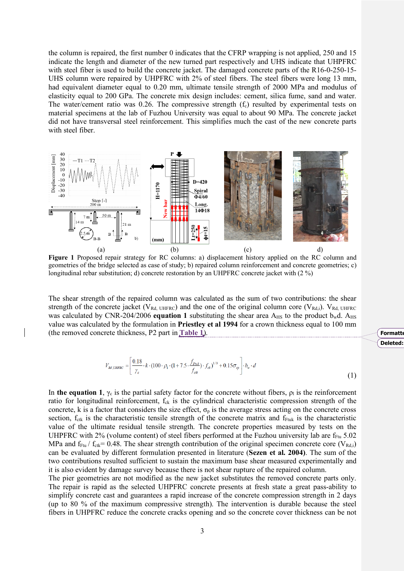the column is repaired, the first number 0 indicates that the CFRP wrapping is not applied, 250 and 15 indicate the length and diameter of the new turned part respectively and UHS indicate that UHPFRC with steel fiber is used to build the concrete jacket. The damaged concrete parts of the R16-0-250-15-UHS column were repaired by UHPFRC with 2% of steel fibers. The steel fibers were long 13 mm, had equivalent diameter equal to 0.20 mm, ultimate tensile strength of 2000 MPa and modulus of elasticity equal to 200 GPa. The concrete mix design includes: cement, silica fume, sand and water. The water/cement ratio was 0.26. The compressive strength  $(f_c)$  resulted by experimental tests on material specimens at the lab of Fuzhou University was equal to about 90 MPa. The concrete jacket did not have transversal steel reinforcement. This simplifies much the cast of the new concrete parts with steel fiber.



**Figure 1** Proposed repair strategy for RC columns: a) displacement history applied on the RC column and geometries of the bridge selected as case of study; b) repaired column reinforcement and concrete geometries; c) longitudinal rebar substitution; d) concrete restoration by an UHPFRC concrete jacket with (2 %)

The shear strength of the repaired column was calculated as the sum of two contributions: the shear strength of the concrete jacket ( $V_{Rd, UHFRC}$ ) and the one of the original column core ( $V_{Rd,i}$ ).  $V_{Rd, UHFRC}$ was calculated by CNR-204/2006 **equation 1** substituting the shear area  $A_{\text{HS}}$  to the product  $b_{\text{w}}d$ .  $A_{\text{HS}}$ value was calculated by the formulation in **Priestley et al 1994** for a crown thickness equal to 100 mm (the removed concrete thickness, P2 part in **Table 1**).

$$
V_{Rd, UHERC} = \left[ \frac{0.18}{\gamma_c} \cdot k \cdot (100 \cdot \rho_1 \cdot (1 + 7.5 \cdot \frac{f_{Fuk}}{f_{ck}}) \cdot f_{ck})^{1/3} + 0.15 \sigma_{cp} \right] \cdot b_w \cdot d \tag{1}
$$

In **the equation 1**,  $\gamma_c$  is the partial safety factor for the concrete without fibers,  $\rho_l$  is the reinforcement ratio for longitudinal reinforcement,  $f_{ck}$  is the cylindrical characteristic compression strength of the concrete, k is a factor that considers the size effect,  $\sigma_p$  is the average stress acting on the concrete cross section,  $f_{\text{ctk}}$  is the characteristic tensile strength of the concrete matrix and  $f_{\text{Ftuk}}$  is the characteristic value of the ultimate residual tensile strength. The concrete properties measured by tests on the UHPFRC with 2% (volume content) of steel fibers performed at the Fuzhou university lab are  $f_{\text{Fu}}$  5.02 MPa and  $f_{Ftu}$  /  $f_{ctk}$  = 0.48. The shear strength contribution of the original specimen concrete core (V<sub>Rd,i</sub>) can be evaluated by different formulation presented in literature (**Sezen et al. 2004)**. The sum of the two contributions resulted sufficient to sustain the maximum base shear measured experimentally and it is also evident by damage survey because there is not shear rupture of the repaired column.

The pier geometries are not modified as the new jacket substitutes the removed concrete parts only. The repair is rapid as the selected UHPFRC concrete presents at fresh state a great pass-ability to simplify concrete cast and guarantees a rapid increase of the concrete compression strength in 2 days (up to 80 % of the maximum compressive strength). The intervention is durable because the steel fibers in UHPFRC reduce the concrete cracks opening and so the concrete cover thickness can be not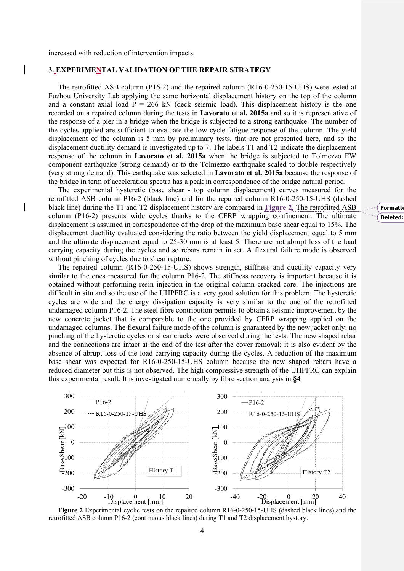increased with reduction of intervention impacts.

## **3. EXPERIMENTAL VALIDATION OF THE REPAIR STRATEGY**

The retrofitted ASB column (P16-2) and the repaired column (R16-0-250-15-UHS) were tested at Fuzhou University Lab applying the same horizontal displacement history on the top of the column and a constant axial load  $P = 266$  kN (deck seismic load). This displacement history is the one recorded on a repaired column during the tests in **Lavorato et al. 2015a** and so it is representative of the response of a pier in a bridge when the bridge is subjected to a strong earthquake. The number of the cycles applied are sufficient to evaluate the low cycle fatigue response of the column. The yield displacement of the column is 5 mm by preliminary tests, that are not presented here, and so the displacement ductility demand is investigated up to 7. The labels T1 and T2 indicate the displacement response of the column in **Lavorato et al. 2015a** when the bridge is subjected to Tolmezzo EW component earthquake (strong demand) or to the Tolmezzo earthquake scaled to double respectively (very strong demand). This earthquake was selected in **Lavorato et al. 2015a** because the response of the bridge in term of acceleration spectra has a peak in correspondence of the bridge natural period.

The experimental hysteretic (base shear - top column displacement) curves measured for the retrofitted ASB column P16-2 (black line) and for the repaired column R16-0-250-15-UHS (dashed black line) during the T1 and T2 displacement history are compared in **Figure 2**. The retrofitted ASB column (P16-2) presents wide cycles thanks to the CFRP wrapping confinement. The ultimate displacement is assumed in correspondence of the drop of the maximum base shear equal to 15%. The displacement ductility evaluated considering the ratio between the yield displacement equal to 5 mm and the ultimate displacement equal to 25-30 mm is at least 5. There are not abrupt loss of the load carrying capacity during the cycles and so rebars remain intact. A flexural failure mode is observed without pinching of cycles due to shear rupture.

The repaired column (R16-0-250-15-UHS) shows strength, stiffness and ductility capacity very similar to the ones measured for the column P16-2. The stiffness recovery is important because it is obtained without performing resin injection in the original column cracked core. The injections are difficult in situ and so the use of the UHPFRC is a very good solution for this problem. The hysteretic cycles are wide and the energy dissipation capacity is very similar to the one of the retrofitted undamaged column P16-2. The steel fibre contribution permits to obtain a seismic improvement by the new concrete jacket that is comparable to the one provided by CFRP wrapping applied on the undamaged columns. The flexural failure mode of the column is guaranteed by the new jacket only: no pinching of the hysteretic cycles or shear cracks were observed during the tests. The new shaped rebar and the connections are intact at the end of the test after the cover removal; it is also evident by the absence of abrupt loss of the load carrying capacity during the cycles. A reduction of the maximum base shear was expected for R16-0-250-15-UHS column because the new shaped rebars have a reduced diameter but this is not observed. The high compressive strength of the UHPFRC can explain this experimental result. It is investigated numerically by fibre section analysis in **§4**



**Figure 2** Experimental cyclic tests on the repaired column R16-0-250-15-UHS (dashed black lines) and the retrofitted ASB column P16-2 (continuous black lines) during T1 and T2 displacement hystory.

#### **Formatte Deleted:**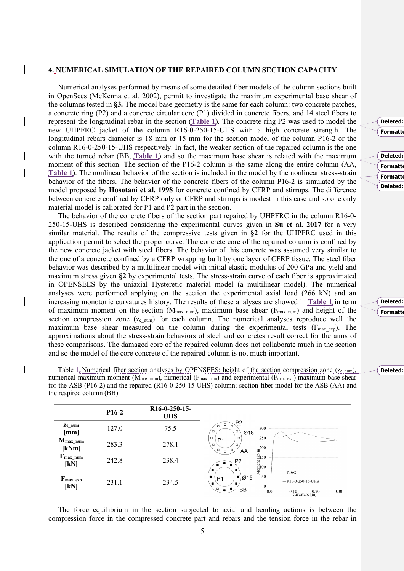### **4. NUMERICAL SIMULATION OF THE REPAIRED COLUMN SECTION CAPACITY**

Numerical analyses performed by means of some detailed fiber models of the column sections built in OpenSees (McKenna et al. 2002), permit to investigate the maximum experimental base shear of the columns tested in **§3.** The model base geometry is the same for each column: two concrete patches, a concrete ring (P2) and a concrete circular core (P1) divided in concrete fibers, and 14 steel fibers to represent the longitudinal rebar in the section (**Table 1**). The concrete ring P2 was used to model the new UHPFRC jacket of the column R16-0-250-15-UHS with a high concrete strength. The longitudinal rebars diameter is 18 mm or 15 mm for the section model of the column P16-2 or the column R16-0-250-15-UHS respectively. In fact, the weaker section of the repaired column is the one with the turned rebar (BB, **Table 1**) and so the maximum base shear is related with the maximum moment of this section. The section of the P16-2 column is the same along the entire column (AA, **Table 1**). The nonlinear behavior of the section is included in the model by the nonlinear stress-strain behavior of the fibers. The behavior of the concrete fibers of the column P16-2 is simulated by the model proposed by **Hosotani et al. 1998** for concrete confined by CFRP and stirrups. The difference between concrete confined by CFRP only or CFRP and stirrups is modest in this case and so one only material model is calibrated for P1 and P2 part in the section.

The behavior of the concrete fibers of the section part repaired by UHPFRC in the column R16-0- 250-15-UHS is described considering the experimental curves given in **Su et al. 2017** for a very similar material. The results of the compressive tests given in **§2** for the UHPFRC used in this application permit to select the proper curve. The concrete core of the repaired column is confined by the new concrete jacket with steel fibers. The behavior of this concrete was assumed very similar to the one of a concrete confined by a CFRP wrapping built by one layer of CFRP tissue. The steel fiber behavior was described by a multilinear model with initial elastic modulus of 200 GPa and yield and maximum stress given **§2** by experimental tests. The stress-strain curve of each fiber is approximated in OPENSEES by the uniaxial Hysteretic material model (a multilinear model). The numerical analyses were performed applying on the section the experimental axial load (266 kN) and an increasing monotonic curvatures history. The results of these analyses are showed in **Table 1** in term of maximum moment on the section ( $M_{\text{max\_num}}$ ), maximum base shear ( $F_{\text{max\_num}}$ ) and height of the section compression zone  $(z_{c\ num})$  for each column. The numerical analyses reproduce well the maximum base shear measured on the column during the experimental tests ( $F_{\text{max exp}}$ ). The approximations about the stress-strain behaviors of steel and concretes result correct for the aims of these comparisons. The damaged core of the repaired column does not collaborate much in the section and so the model of the core concrete of the repaired column is not much important.

Table  $\perp$  Numerical fiber section analyses by OPENSEES: height of the section compression zone ( $z_{c\text{ num}}$ ), numerical maximum moment ( $M_{\text{max}}$  num), numerical ( $F_{\text{max}}$  num) and experimental ( $F_{\text{max}}$  exp) maximum base shear for the ASB (P16-2) and the repaired (R16-0-250-15-UHS) column; section fiber model for the ASB (AA) and the reapired column (BB)

|                                | P <sub>16-2</sub> | R <sub>16</sub> -0-250-15-<br><b>UHS</b> |                                                                                                                                                                                                                                                                                                                                                                                                                                                                                  |
|--------------------------------|-------------------|------------------------------------------|----------------------------------------------------------------------------------------------------------------------------------------------------------------------------------------------------------------------------------------------------------------------------------------------------------------------------------------------------------------------------------------------------------------------------------------------------------------------------------|
| Zc num<br>[mm]                 | 127.0             | 75.5                                     | P <sub>2</sub><br>α<br>O<br>$\Box$<br>300<br>$\Box$<br>O<br>Ø18                                                                                                                                                                                                                                                                                                                                                                                                                  |
| $M_{\text{max\_num}}$<br>[kNm] | 283.3             | 278.1                                    | $\begin{picture}(20,10) \put(0,0){\vector(1,0){10}} \put(1,0){\vector(1,0){10}} \put(1,0){\vector(1,0){10}} \put(1,0){\vector(1,0){10}} \put(1,0){\vector(1,0){10}} \put(1,0){\vector(1,0){10}} \put(1,0){\vector(1,0){10}} \put(1,0){\vector(1,0){10}} \put(1,0){\vector(1,0){10}} \put(1,0){\vector(1,0){10}} \put(1,0){\vector(1,0){10}} \put(1,0){\vector(1,0){10}} \put(1,$<br>250<br>$\Box$<br>₫<br>P <sub>1</sub><br>۰<br>O<br>$\vec{E}_{150}^{200}$<br>O<br>O<br>AA<br>a |
| $F_{\text{max\_num}}$<br>[kN]  | 242.8             | 238.4                                    | P2<br>Moment<br>Moment                                                                                                                                                                                                                                                                                                                                                                                                                                                           |
| $F_{\text{max\_exp}}$<br>[kN]  | 231.1             | 234.5                                    | $\blacksquare$<br>$-P16-2$<br>50<br>۱.<br>$\blacksquare$  215<br>P <sub>1</sub><br>$\cdots$ R16-0-250-15-UHS<br>۰<br>$\Omega$<br>n<br>۰<br>BВ<br>0.00<br>0.30<br>0.10                                                                                                                                                                                                                                                                                                            |
|                                |                   |                                          | $10\atop \text{curvature } [\text{m}]$                                                                                                                                                                                                                                                                                                                                                                                                                                           |

The force equilibrium in the section subjected to axial and bending actions is between the compression force in the compressed concrete part and rebars and the tension force in the rebar in

| Deleted:        |  |  |
|-----------------|--|--|
| <b>Formatte</b> |  |  |
|                 |  |  |
|                 |  |  |
| Deleted:        |  |  |
| <b>Formatte</b> |  |  |
|                 |  |  |

**Formatte Deleted:** 

**Formatte Deleted:** 

#### **Deleted:** 2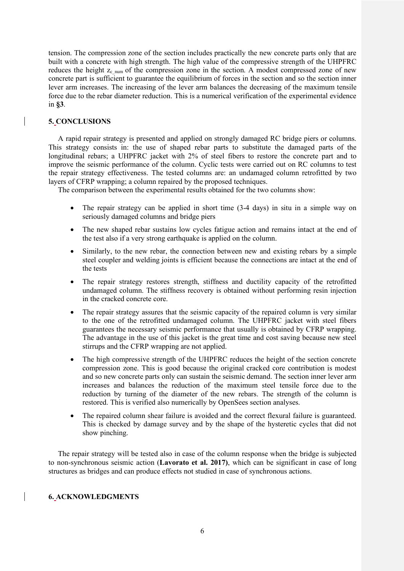tension. The compression zone of the section includes practically the new concrete parts only that are built with a concrete with high strength. The high value of the compressive strength of the UHPFRC reduces the height  $z_{c}$  <sub>num</sub> of the compression zone in the section. A modest compressed zone of new concrete part is sufficient to guarantee the equilibrium of forces in the section and so the section inner lever arm increases. The increasing of the lever arm balances the decreasing of the maximum tensile force due to the rebar diameter reduction. This is a numerical verification of the experimental evidence in **§3**.

## **5. CONCLUSIONS**

A rapid repair strategy is presented and applied on strongly damaged RC bridge piers or columns. This strategy consists in: the use of shaped rebar parts to substitute the damaged parts of the longitudinal rebars; a UHPFRC jacket with 2% of steel fibers to restore the concrete part and to improve the seismic performance of the column. Cyclic tests were carried out on RC columns to test the repair strategy effectiveness. The tested columns are: an undamaged column retrofitted by two layers of CFRP wrapping; a column repaired by the proposed techniques.

The comparison between the experimental results obtained for the two columns show:

- The repair strategy can be applied in short time (3-4 days) in situ in a simple way on seriously damaged columns and bridge piers
- The new shaped rebar sustains low cycles fatigue action and remains intact at the end of the test also if a very strong earthquake is applied on the column.
- Similarly, to the new rebar, the connection between new and existing rebars by a simple steel coupler and welding joints is efficient because the connections are intact at the end of the tests
- The repair strategy restores strength, stiffness and ductility capacity of the retrofitted undamaged column. The stiffness recovery is obtained without performing resin injection in the cracked concrete core.
- The repair strategy assures that the seismic capacity of the repaired column is very similar to the one of the retrofitted undamaged column. The UHPFRC jacket with steel fibers guarantees the necessary seismic performance that usually is obtained by CFRP wrapping. The advantage in the use of this jacket is the great time and cost saving because new steel stirrups and the CFRP wrapping are not applied.
- The high compressive strength of the UHPFRC reduces the height of the section concrete compression zone. This is good because the original cracked core contribution is modest and so new concrete parts only can sustain the seismic demand. The section inner lever arm increases and balances the reduction of the maximum steel tensile force due to the reduction by turning of the diameter of the new rebars. The strength of the column is restored. This is verified also numerically by OpenSees section analyses.
- The repaired column shear failure is avoided and the correct flexural failure is guaranteed. This is checked by damage survey and by the shape of the hysteretic cycles that did not show pinching.

The repair strategy will be tested also in case of the column response when the bridge is subjected to non-synchronous seismic action (**Lavorato et al. 2017)**, which can be significant in case of long structures as bridges and can produce effects not studied in case of synchronous actions.

## **6. ACKNOWLEDGMENTS**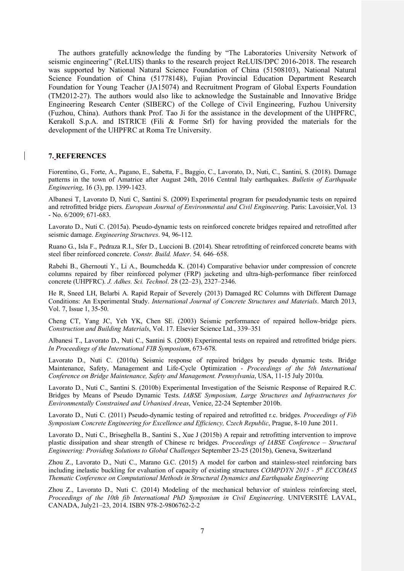The authors gratefully acknowledge the funding by "The Laboratories University Network of seismic engineering" (ReLUIS) thanks to the research project ReLUIS/DPC 2016-2018. The research was supported by National Natural Science Foundation of China (51508103), National Natural Science Foundation of China (51778148), Fujian Provincial Education Department Research Foundation for Young Teacher (JA15074) and Recruitment Program of Global Experts Foundation (TM2012-27). The authors would also like to acknowledge the Sustainable and Innovative Bridge Engineering Research Center (SIBERC) of the College of Civil Engineering, Fuzhou University (Fuzhou, China). Authors thank Prof. Tao Ji for the assistance in the development of the UHPFRC, Kerakoll S.p.A. and ISTRICE (Fili & Forme Srl) for having provided the materials for the development of the UHPFRC at Roma Tre University.

#### **7. REFERENCES**

Fiorentino, G., Forte, A., Pagano, E., Sabetta, F., Baggio, C., Lavorato, D., Nuti, C., Santini, S. (2018). Damage patterns in the town of Amatrice after August 24th, 2016 Central Italy earthquakes. *Bulletin of Earthquake Engineering*, 16 (3), pp. 1399-1423.

Albanesi T, Lavorato D, Nuti C, Santini S. (2009) Experimental program for pseudodynamic tests on repaired and retrofitted bridge piers. *European Journal of Environmental and Civil Engineering*. Paris: Lavoisier, Vol. 13 - No. 6/2009; 671-683.

Lavorato D., Nuti C. (2015a). Pseudo-dynamic tests on reinforced concrete bridges repaired and retrofitted after seismic damage. *Engineering Structures*. 94, 96-112.

Ruano G., Isla F., Pedraza R.I., Sfer D., Luccioni B. (2014). Shear retrofitting of reinforced concrete beams with steel fiber reinforced concrete. *Constr. Build. Mater*. 54. 646–658.

Rabehi B., Ghernouti Y., Li A., Boumchedda K. (2014) Comparative behavior under compression of concrete columns repaired by fiber reinforced polymer (FRP) jacketing and ultra-high-performance fiber reinforced concrete (UHPFRC). *J. Adhes. Sci. Technol*. 28 (22–23), 2327–2346.

He R, Sneed LH, Belarbi A. Rapid Repair of Severely (2013) Damaged RC Columns with Different Damage Conditions: An Experimental Study. *International Journal of Concrete Structures and Materials*. March 2013, Vol. 7, Issue 1, 35-50.

Cheng CT, Yang JC, Yeh YK, Chen SE. (2003) Seismic performance of repaired hollow-bridge piers. *Construction and Building Materials*, Vol. 17. Elsevier Science Ltd., 339–351

Albanesi T., Lavorato D., Nuti C., Santini S. (2008) Experimental tests on repaired and retrofitted bridge piers. *In Proceedings of the International FIB Symposium*, 673-678.

Lavorato D., Nuti C. (2010a) Seismic response of repaired bridges by pseudo dynamic tests. Bridge Maintenance, Safety, Management and Life-Cycle Optimization - *Proceedings of the 5th International Conference on Bridge Maintenance, Safety and Management. Pennsylvania*, USA, 11-15 July 2010a.

Lavorato D., Nuti C., Santini S. (2010b) Experimental Investigation of the Seismic Response of Repaired R.C. Bridges by Means of Pseudo Dynamic Tests. *IABSE Symposium, Large Structures and Infrastructures for Environmentally Constrained and Urbanised Areas*, Venice, 22-24 September 2010b.

Lavorato D., Nuti C. (2011) Pseudo-dynamic testing of repaired and retrofitted r.c. bridges. *Proceedings of Fib Symposium Concrete Engineering for Excellence and Efficiency, Czech Republic*, Prague, 8-10 June 2011.

Lavorato D., Nuti C., Briseghella B., Santini S., Xue J (2015b) A repair and retrofitting intervention to improve plastic dissipation and shear strength of Chinese rc bridges. *Proceedings of IABSE Conference – Structural Engineering: Providing Solutions to Global Challenges* September 23-25 (2015b), Geneva, Switzerland

Zhou Z., Lavorato D., Nuti C., Marano G.C. (2015) A model for carbon and stainless-steel reinforcing bars including inelastic buckling for evaluation of capacity of existing structures *COMPDYN 2015 - 5th ECCOMAS Thematic Conference on Computational Methods in Structural Dynamics and Earthquake Engineering*

Zhou Z., Lavorato D., Nuti C. (2014) Modeling of the mechanical behavior of stainless reinforcing steel, *Proceedings of the 10th fib International PhD Symposium in Civil Engineering*. UNIVERSITÉ LAVAL, CANADA, July21–23, 2014. ISBN 978-2-9806762-2-2